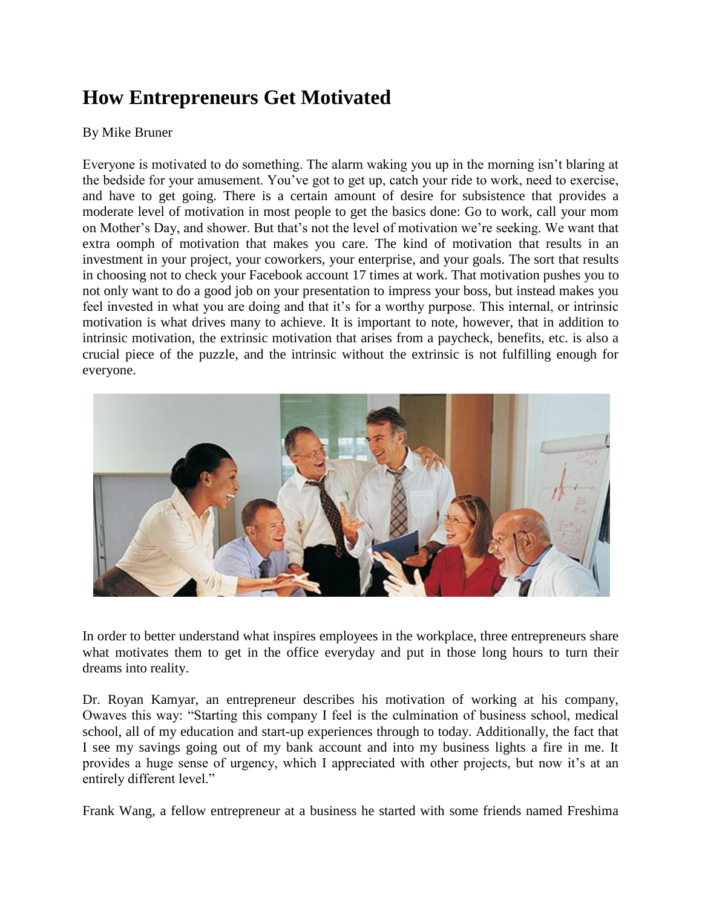## **How Entrepreneurs Get Motivated**

## By Mike Bruner

Everyone is motivated to do something. The alarm waking you up in the morning isn't blaring at the bedside for your amusement. You've got to get up, catch your ride to work, need to exercise, and have to get going. There is a certain amount of desire for subsistence that provides a moderate level of motivation in most people to get the basics done: Go to work, call your mom on Mother's Day, and shower. But that's not the level of motivation we're seeking. We want that extra oomph of motivation that makes you care. The kind of motivation that results in an investment in your project, your coworkers, your enterprise, and your goals. The sort that results in choosing not to check your Facebook account 17 times at work. That motivation pushes you to not only want to do a good job on your presentation to impress your boss, but instead makes you feel invested in what you are doing and that it's for a worthy purpose. This internal, or intrinsic motivation is what drives many to achieve. It is important to note, however, that in addition to intrinsic motivation, the extrinsic motivation that arises from a paycheck, benefits, etc. is also a crucial piece of the puzzle, and the intrinsic without the extrinsic is not fulfilling enough for everyone.



In order to better understand what inspires employees in the workplace, three entrepreneurs share what motivates them to get in the office everyday and put in those long hours to turn their dreams into reality.

Dr. Royan Kamyar, an entrepreneur describes his motivation of working at his company, Owaves this way: "Starting this company I feel is the culmination of business school, medical school, all of my education and start-up experiences through to today. Additionally, the fact that I see my savings going out of my bank account and into my business lights a fire in me. It provides a huge sense of urgency, which I appreciated with other projects, but now it's at an entirely different level."

Frank Wang, a fellow entrepreneur at a business he started with some friends named Freshima